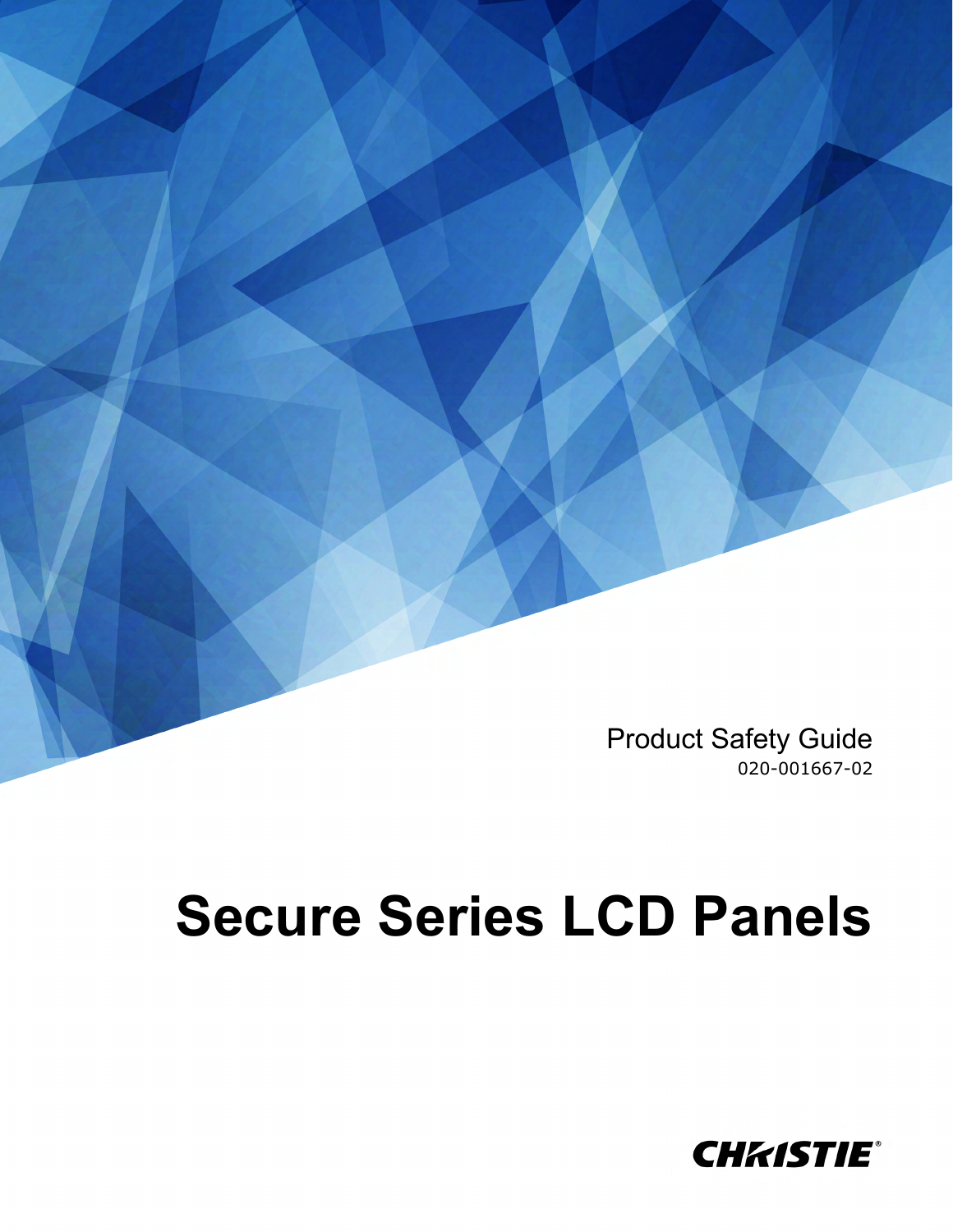Product Safety Guide 020-001667-02

# **Secure Series LCD Panels**

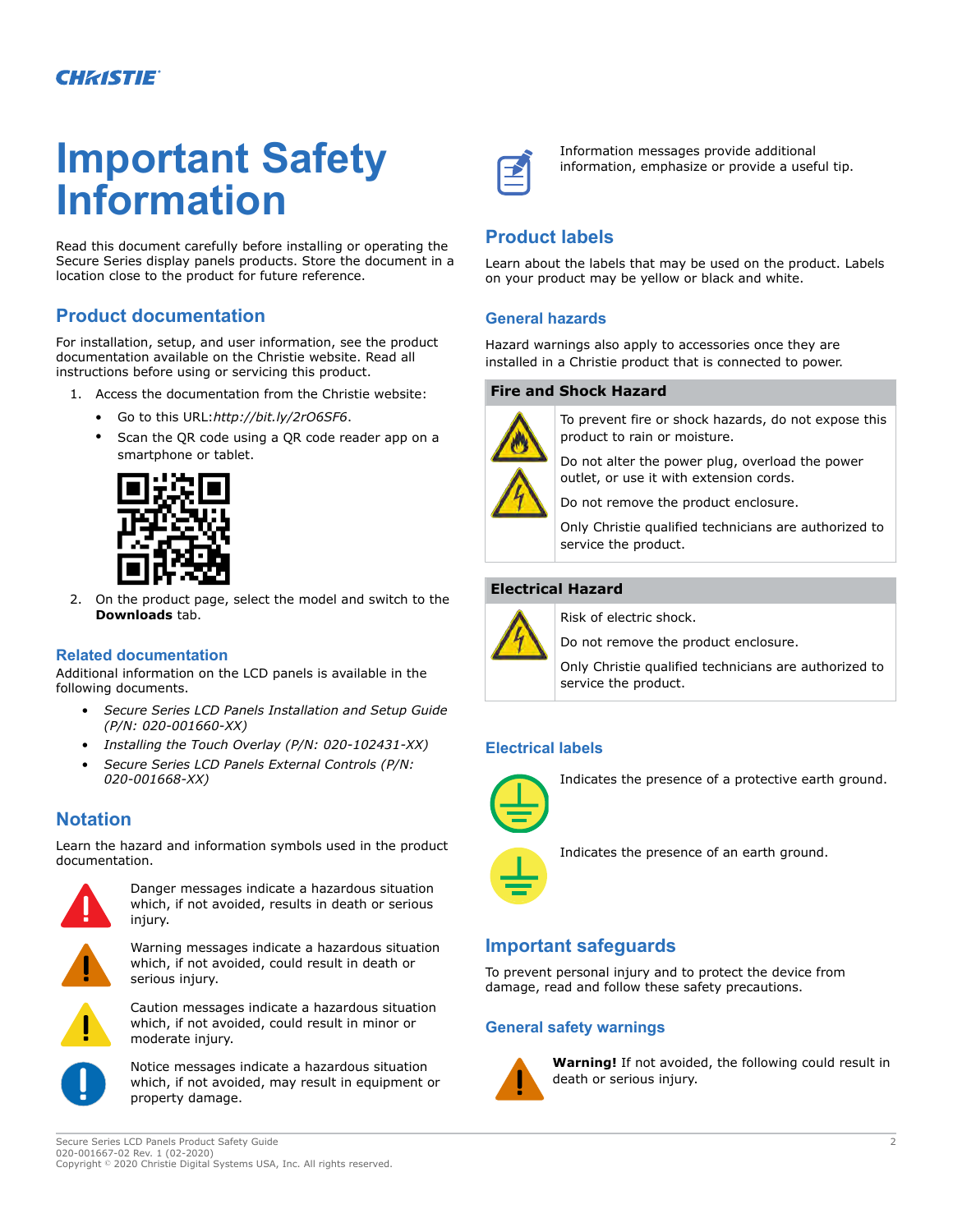## **Important Safety Information**

Read this document carefully before installing or operating the Secure Series display panels products. Store the document in a location close to the product for future reference.

#### **Product documentation**

For installation, setup, and user information, see the product documentation available on the Christie website. Read all instructions before using or servicing this product.

- 1. Access the documentation from the Christie website:
	- Go to this URL:*<http://bit.ly/2rO6SF6>*.
	- Scan the QR code using a QR code reader app on a smartphone or tablet.



2. On the product page, select the model and switch to the **Downloads** tab.

#### **Related documentation**

Additional information on the LCD panels is available in the following documents.

- *Secure Series LCD Panels Installation and Setup Guide (P/N: 020-001660-XX)*
- *Installing the Touch Overlay (P/N: 020-102431-XX)*
- *Secure Series LCD Panels External Controls (P/N: 020-001668-XX)*

#### **Notation**

Learn the hazard and information symbols used in the product documentation.



Danger messages indicate a hazardous situation which, if not avoided, results in death or serious injury.



Warning messages indicate a hazardous situation which, if not avoided, could result in death or serious injury.



Caution messages indicate a hazardous situation which, if not avoided, could result in minor or moderate injury.



Notice messages indicate a hazardous situation which, if not avoided, may result in equipment or property damage.



Information messages provide additional information, emphasize or provide a useful tip.

#### **Product labels**

Learn about the labels that may be used on the product. Labels on your product may be yellow or black and white.

#### **General hazards**

Hazard warnings also apply to accessories once they are installed in a Christie product that is connected to power.

#### **Fire and Shock Hazard**



To prevent fire or shock hazards, do not expose this product to rain or moisture.

Do not alter the power plug, overload the power outlet, or use it with extension cords.

Do not remove the product enclosure.

Only Christie qualified technicians are authorized to service the product.

#### **Electrical Hazard**



Risk of electric shock.

Do not remove the product enclosure.

Only Christie qualified technicians are authorized to service the product.

#### **Electrical labels**



Indicates the presence of a protective earth ground.



Indicates the presence of an earth ground.

### **Important safeguards**

To prevent personal injury and to protect the device from damage, read and follow these safety precautions.

#### **General safety warnings**



**Warning!** If not avoided, the following could result in death or serious injury.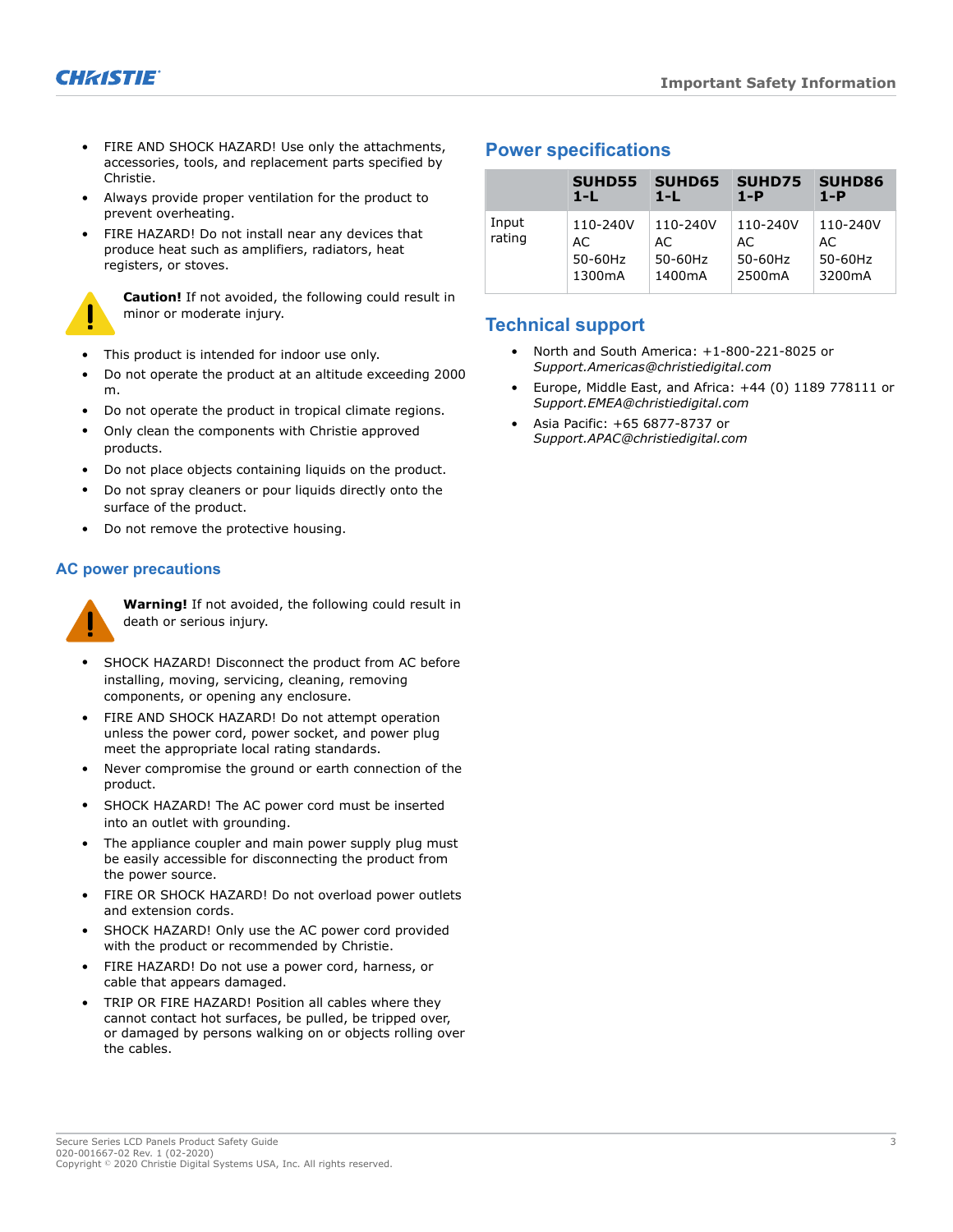

- FIRE AND SHOCK HAZARD! Use only the attachments, accessories, tools, and replacement parts specified by Christie.
- Always provide proper ventilation for the product to prevent overheating.
- FIRE HAZARD! Do not install near any devices that produce heat such as amplifiers, radiators, heat registers, or stoves.



**Caution!** If not avoided, the following could result in minor or moderate injury.

- This product is intended for indoor use only.
- Do not operate the product at an altitude exceeding 2000 m.
- Do not operate the product in tropical climate regions.
- Only clean the components with Christie approved products.
- Do not place objects containing liquids on the product.
- Do not spray cleaners or pour liquids directly onto the surface of the product.
- Do not remove the protective housing.

#### **AC power precautions**



**Warning!** If not avoided, the following could result in death or serious injury.

- SHOCK HAZARD! Disconnect the product from AC before installing, moving, servicing, cleaning, removing components, or opening any enclosure.
- FIRE AND SHOCK HAZARD! Do not attempt operation unless the power cord, power socket, and power plug meet the appropriate local rating standards.
- Never compromise the ground or earth connection of the product.
- SHOCK HAZARD! The AC power cord must be inserted into an outlet with grounding.
- The appliance coupler and main power supply plug must be easily accessible for disconnecting the product from the power source.
- FIRE OR SHOCK HAZARD! Do not overload power outlets and extension cords.
- SHOCK HAZARD! Only use the AC power cord provided with the product or recommended by Christie.
- FIRE HAZARD! Do not use a power cord, harness, or cable that appears damaged.
- TRIP OR FIRE HAZARD! Position all cables where they cannot contact hot surfaces, be pulled, be tripped over, or damaged by persons walking on or objects rolling over the cables.

#### **Power specifications**

|                 | <b>SUHD55</b>                                     | SUHD65                               | SUHD75                                            | <b>SUHD86</b>                        |
|-----------------|---------------------------------------------------|--------------------------------------|---------------------------------------------------|--------------------------------------|
|                 | $1-L$                                             | $1-L$                                | $1-P$                                             | $1-P$                                |
| Input<br>rating | 110-240V<br>AC.<br>50-60Hz<br>1300 <sub>m</sub> A | 110-240V<br>AC.<br>50-60Hz<br>1400mA | 110-240V<br>AC.<br>50-60Hz<br>2500 <sub>m</sub> A | 110-240V<br>AC.<br>50-60Hz<br>3200mA |

#### **Technical support**

- North and South America: +1-800-221-8025 or *[Support.Americas@christiedigital.com](mailto:Support.Americas@christiedigital.com)*
- Europe, Middle East, and Africa: +44 (0) 1189 778111 or *[Support.EMEA@christiedigital.com](mailto:Support.EMEA@christiedigital.com)*
- Asia Pacific: +65 6877-8737 or *[Support.APAC@christiedigital.com](mailto:Support.APAC@christiedigital.com)*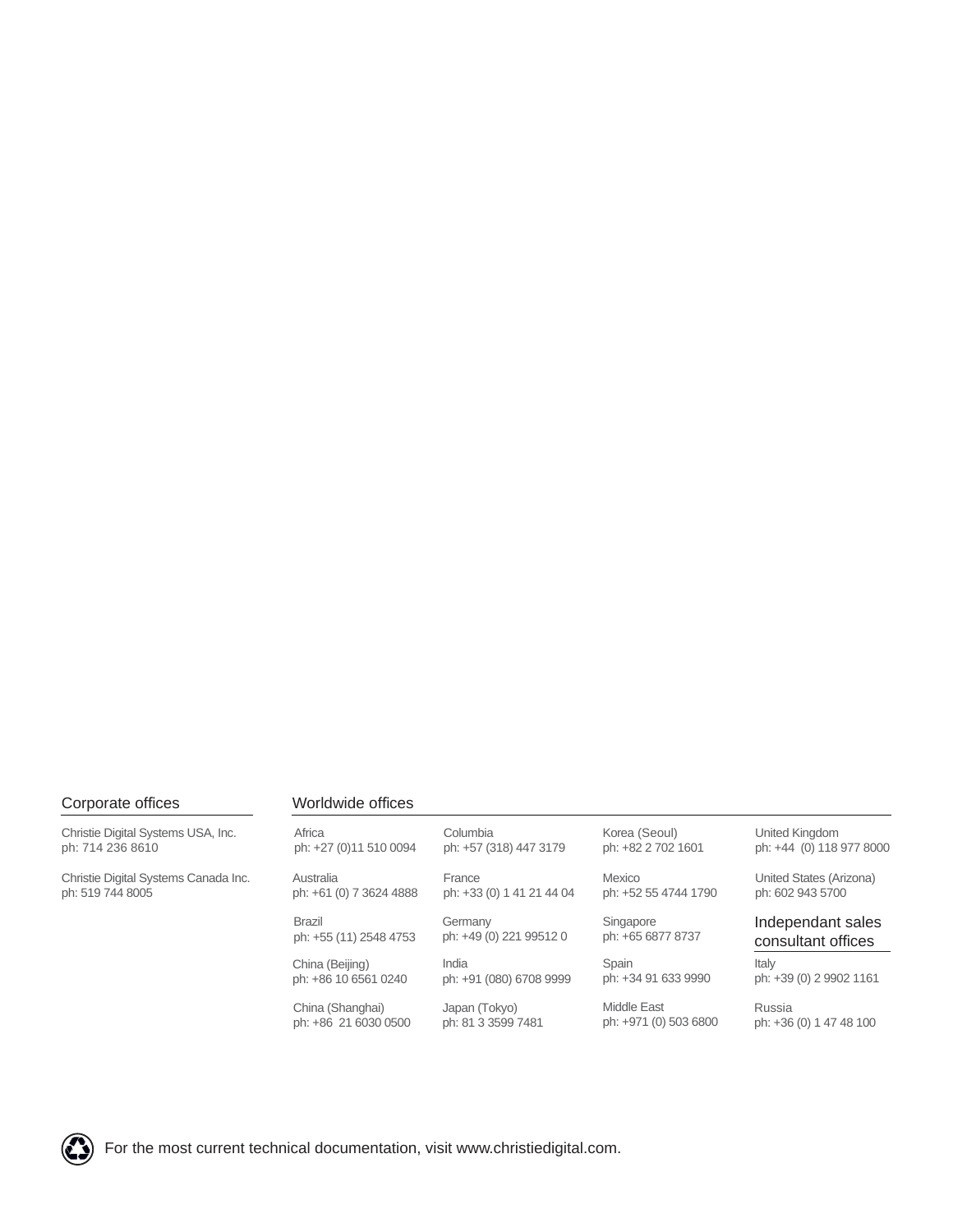#### Corporate offices

Christie Digital Systems USA, Inc. ph: 714 236 8610

Christie Digital Systems Canada Inc. ph: 519 744 8005

#### Worldwide offices

| Africa                  | Columbia                  |
|-------------------------|---------------------------|
| ph: +27 (0)11 510 0094  | ph: +57 (318) 447 3179    |
| Australia               | France                    |
| ph: +61 (0) 7 3624 4888 | ph: +33 (0) 1 41 21 44 04 |
| <b>Brazil</b>           | Germany                   |
| ph: +55 (11) 2548 4753  | ph: +49 (0) 221 99512 0   |
| China (Beijing)         | India                     |
| ph: +86 10 6561 0240    | ph: +91 (080) 6708 9999   |
| China (Shanghai)        | Japan (Tokyo)             |
| ph: +86 21 6030 0500    | ph: 81 3 3599 7481        |

Korea (Seoul) ph: +82 2 702 1601

Mexico ph: +52 55 4744 1790

Singapore ph: +65 6877 8737

Spain ph: +34 91 633 9990

Middle East ph: +971 (0) 503 6800

United Kingdom ph: +44 (0) 118 977 8000

United States (Arizona) ph: 602 943 5700

#### Independant sales consultant offices

Italy ph: +39 (0) 2 9902 1161

Russia ph: +36 (0) 1 47 48 100